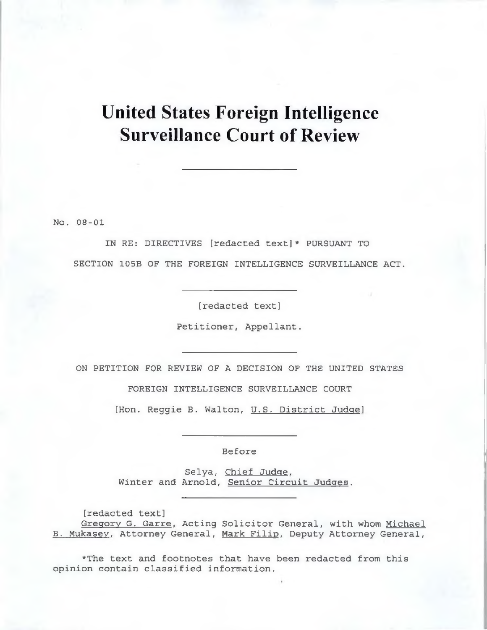# **United States Foreign Intelligence Surveillance Court of Review**

No. 08-01

IN RE: DIRECTIVES [redacted text]\* PURSUANT TO SECTION 105B OF THE FOREIGN INTELLIGENCE SURVEILLANCE ACT.

[redacted text]

Petitioner, Appellant.

ON PETITION FOR REVIEW OF A DECISION OF THE UNITED STATES

FOREIGN INTELLIGENCE SURVEILLANCE COURT

[Hon. Reggie B. Walton, U.S. District Judge]

Before

Selya, Chief Judge. Winter and Arnold, Senior Circuit Judges.

[redacted text] Gregory G. Garre, Acting Solicitor General, with whom Michael B. Mukasev. Attorney General, Mark Filip. Deputy Attorney General,

\*The text and footnotes that have been redacted from this opinion contain classified information.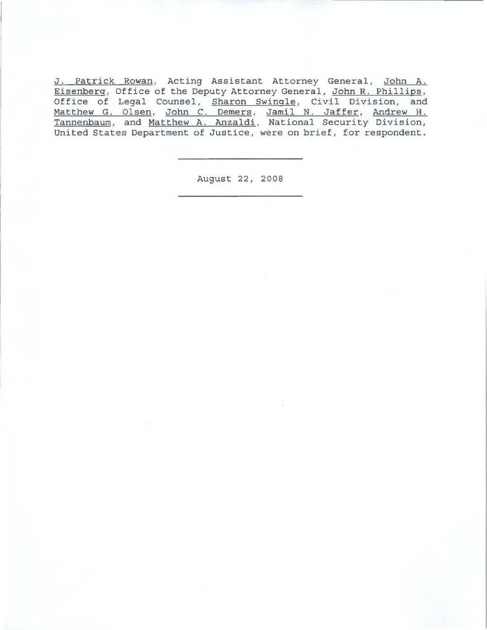J. Patrick Rowan. Acting Assistant Attorney General, John A. Eisenberg. Office of the Deputy Attorney General, John R. Phillips. Office of Legal Counsel, Sharon Swingle. Civil Division, and Matthew G. Olsen. John C. Demers. Jamil N. Jaffer. Andrew H . Tannenbaum. and Matthew A. Anzaldi. National Security Division, United States Department of Justice, were on brief, for respondent.

August 22, 2008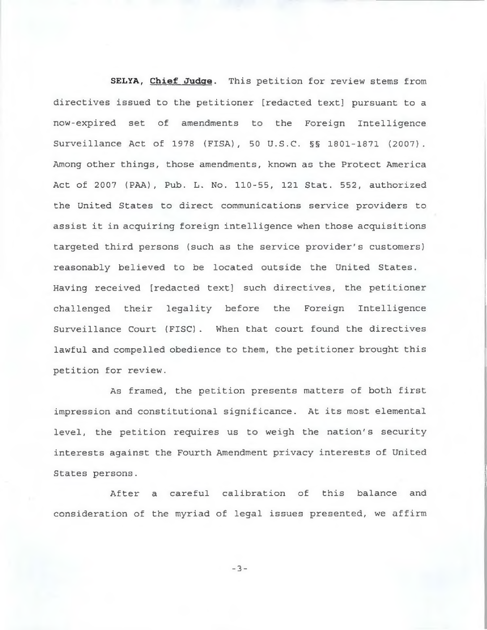**SELYA, Chief Judge.** This petition for review stems from directives issued to the petitioner [redacted text] pursuant to a now-expired set of amendments to the Foreign Intelligence Surveillance Act of 1978 (FISA), 50 U.S.C. §§ 1801-1871 (2007). Among other things, those amendments, known as the Protect America Act of 2007 (PAA), Pub. L. No. 110-55, 121 Stat. 552, authorized the United States to direct communications service providers to assist it in acquiring foreign intelligence when those acquisitions targeted third persons (such as the service provider's customers) reasonably believed to be located outside the United States. Having received [redacted text] such directives, the petitioner challenged their legality before the Foreign Intelligence Surveillance Court (FISC). When that court found the directives lawful and compelled obedience to them, the petitioner brought this petition for review.

As framed, the petition presents matters of both first impression and constitutional significance. At its most elemental level, the petition requires us to weigh the nation's security interests against the Fourth Amendment privacy interests of United States persons.

After a careful calibration of this balance and consideration of the myriad of legal issues presented, we affirm

- **3** -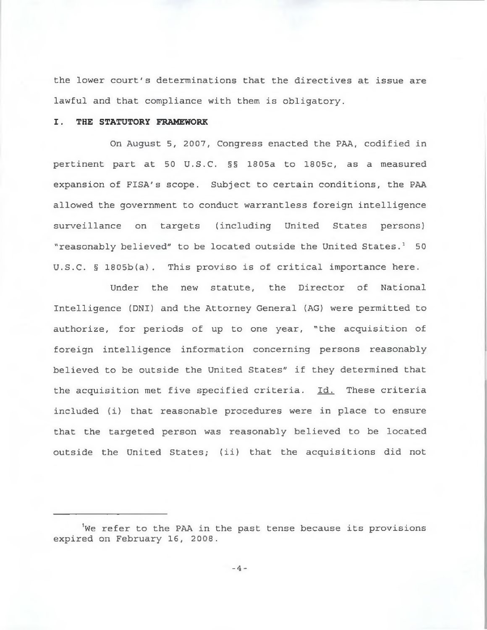the lower court's determinations that the directives at issue are lawful and that compliance with them is obligatory.

#### **I. THE STATUTORY FRAMEWORK**

On August 5, 2007, Congress enacted the PAA, codified in pertinent part at 50 U.S.C. §§ 1805a to 1805c, as a measured expansion of FISA's scope. Subject to certain conditions, the PAA allowed the government to conduct warrantless foreign intelligence surveillance on targets (including United States persons) "reasonably believed" to be located outside the United States.<sup>1</sup> 50 U.S.C. § 1805b(a). This proviso is of critical importance here.

Under the new statute, the Director of National Intelligence (DNI) and the Attorney General (AG) were permitted to authorize, for periods of up to one year, "the acquisition of foreign intelligence information concerning persons reasonably believed to be outside the United States" if they determined that the acquisition met five specified criteria. Id. These criteria included (i) that reasonable procedures were in place to ensure that the targeted person was reasonably believed to be located outside the United States; (ii) that the acquisitions did not

We refer to the PAA in the past tense because its provisions expired on February 16, 2008.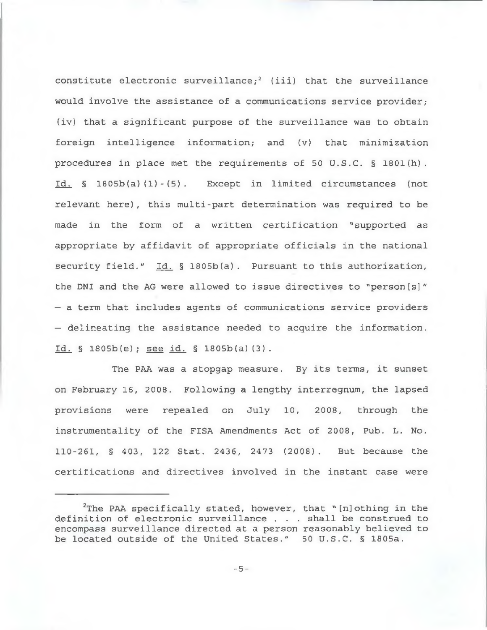constitute electronic surveillance;<sup>2</sup> (iii) that the surveillance would involve the assistance of a communications service provider; (iv) that a significant purpose of the surveillance was to obtain foreign intelligence information; and (v) that minimization procedures in place met the requirements of 50 U.S.C. § 1801(h). Id. § 1805b(a)(1)-(5). Except in limited circumstances (not relevant here), this multi-part determination was required to be made in the form of a written certification "supported as appropriate by affidavit of appropriate officials in the national security field." Id.  $\frac{1}{2}$  1805b(a). Pursuant to this authorization, the DNI and the AG were allowed to issue directives to "person [s]" — a term that includes agents of communications service providers — delineating the assistance needed to acquire the information.  $Id.$  § 1805b(e); see id. § 1805b(a)(3).

The PAA was a stopgap measure. By its terms, it sunset on February 16, 2008. Following a lengthy interregnum, the lapsed provisions were repealed on July 10, 2008, through the instrumentality of the FISA Amendments Act of 2008, Pub. L. No. 110-261, § 403, 122 Stat. 2436, 2473 (2008). But because the certifications and directives involved in the instant case were

 $2$ The PAA specifically stated, however, that " [n] othing in the definition of electronic surveillance . . . shall be construed to encompass surveillance directed at a person reasonably believed to be located outside of the United States." 50 U.S.C. § 1805a.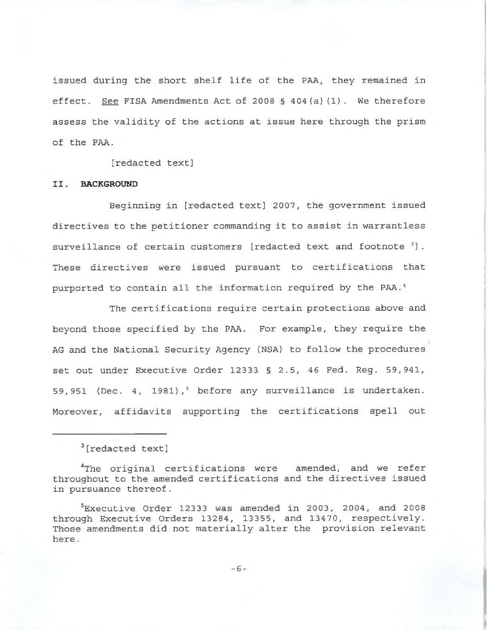issued during the short shelf life of the PAA, they remained in effect. See FISA Amendments Act of 2008 § 404(a) $(1)$ . We therefore assess the validity of the actions at issue here through the prism of the PAA.

[redacted text]

### **II. BACKGROUND**

Beginning in [redacted text] 2007, the government issued directives to the petitioner commanding it to assist in warrantless surveillance of certain customers [redacted text and footnote 3]. These directives were issued pursuant to certifications that purported to contain all the information required by the PAA.<sup>4</sup>

The certifications require certain protections above and beyond those specified by the PAA. For example, they require the AG and the National Security Agency (NSA) to follow the procedures set out under Executive Order 12333 § 2.5, 46 Fed. Reg. 59,941, 59,951 (Dec. 4, 1981),<sup>5</sup> before any surveillance is undertaken. Moreover, affidavits supporting the certifications spell out

<sup>3[</sup>redacted text]

<sup>4</sup>The original certifications were amended, and we refer throughout to the amended certifications and the directives issued in pursuance thereof.

Executive Order 12333 was amended in 2003, 2004, and 2008 through Executive Orders 13284, 13355, and 13470, respectively. Those amendments did not materially alter the provision relevant here.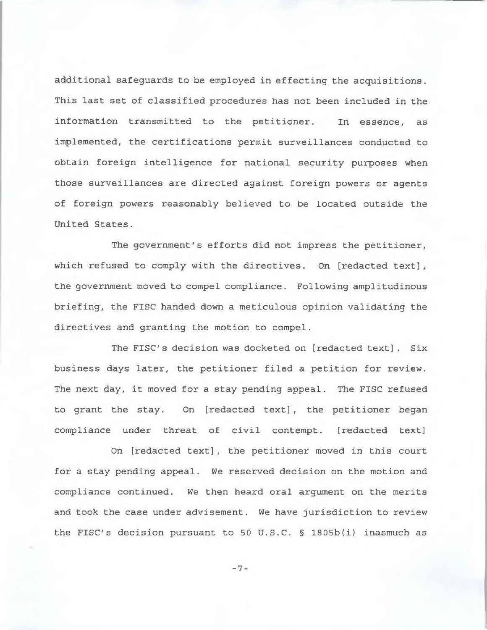additional safeguards to be employed in effecting the acquisitions. This last set of classified procedures has not been included in the information transmitted to the petitioner. In essence, as implemented, the certifications permit surveillances conducted to obtain foreign intelligence for national security purposes when those surveillances are directed against foreign powers or agents of foreign powers reasonably believed to be located outside the United States.

The government's efforts did not impress the petitioner, which refused to comply with the directives. On [redacted text], the government moved to compel compliance. Following amplitudinous briefing, the FISC handed down a meticulous opinion validating the directives and granting the motion to compel.

The FISC's decision was docketed on [redacted text]. Six business days later, the petitioner filed a petition for review. The next day, it moved for a stay pending appeal. The FISC refused to grant the stay. On [redacted text], the petitioner began compliance under threat of civil contempt. [redacted text]

On [redacted text], the petitioner moved in this court for a stay pending appeal. We reserved decision on the motion and compliance continued. We then heard oral argument on the merits and took the case under advisement. We have jurisdiction to review the FISC's decision pursuant to 50 U.S.C. § 1805b(i) inasmuch as

**-7**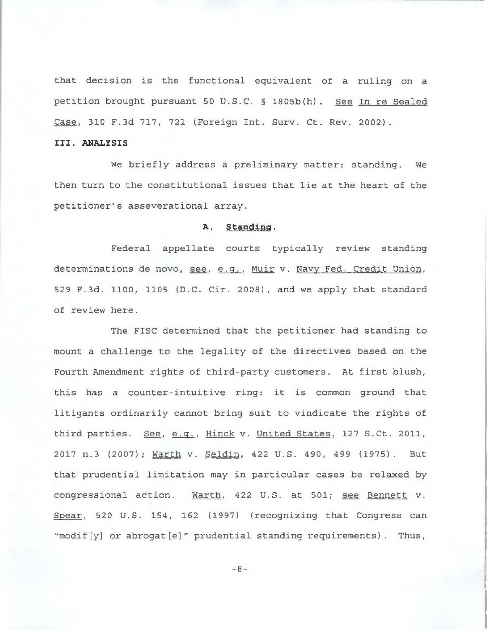that decision is the functional equivalent of a ruling on a petition brought pursuant 50 U.S.C. § 1805b(h). See In re Sealed Case, 310 F.3d 717, 721 (Foreign Int. Surv. Ct. Rev. 2002).

## **III. ANALYSIS**

We briefly address a preliminary matter: standing. We then turn to the constitutional issues that lie at the heart of the petitioner's asseverational array.

#### **A. Standing.**

Federal appellate courts typically review standing determinations de novo, see, e.g., Muir v. Navy Fed. Credit Union, 529 F.3d. 1100, 1105 (D.C. Cir. 2008), and we apply that standard of review here.

The FISC determined that the petitioner had standing to mount a challenge to the legality of the directives based on the Fourth Amendment rights of third-party customers. At first blush, this has a counter-intuitive ring: it is common ground that litigants ordinarily cannot bring suit to vindicate the rights of third parties. See, e.g., Hinck v. United States, 127 S.Ct. 2011, 2017 n.3 (2007); Warth v. Seldin. 422 U.S. 490, 499 (1975). But that prudential limitation may in particular cases be relaxed by congressional action. Warth. 422 U.S. at 501; see Bennett v. Spear, 520 U.S. 154, 162 (1997) (recognizing that Congress can "modif[y] or abrogat[e]" prudential standing requirements). Thus,

- **8**-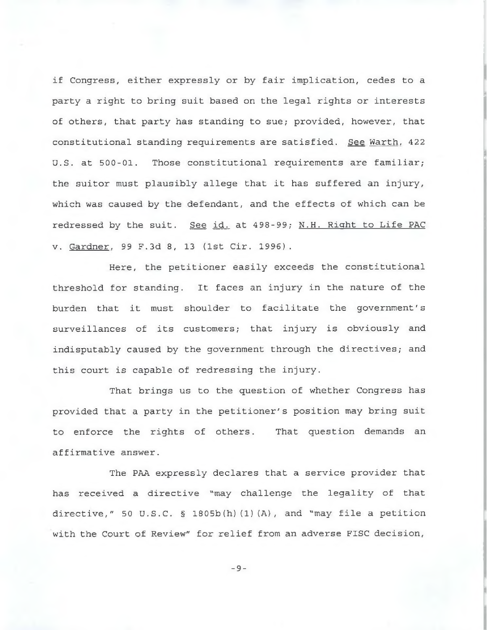if Congress, either expressly or by fair implication, cedes to a party a right to bring suit based on the legal rights or interests of others, that party has standing to sue; provided, however, that constitutional standing requirements are satisfied. See Warth, 422 U.S. at 500-01. Those constitutional requirements are familiar; the suitor must plausibly allege that it has suffered an injury, which was caused by the defendant, and the effects of which can be redressed by the suit. See id. at 498-99; N.H. Right to Life PAC v. Gardner, 99 F.3d 8, 13 (1st Cir. 1996).

Here, the petitioner easily exceeds the constitutional threshold for standing. It faces an injury in the nature of the burden that it must shoulder to facilitate the government's surveillances of its customers; that injury is obviously and indisputably caused by the government through the directives; and this court is capable of redressing the injury.

That brings us to the question of whether Congress has provided that a party in the petitioner's position may bring suit to enforce the rights of others. That question demands an affirmative answer.

The PAA expressly declares that a service provider that has received a directive "may challenge the legality of that directive," 50 U.S.C. § 1805b(h)(1)(A), and "may file a petition with the Court of Review" for relief from an adverse FISC decision,

- **9**-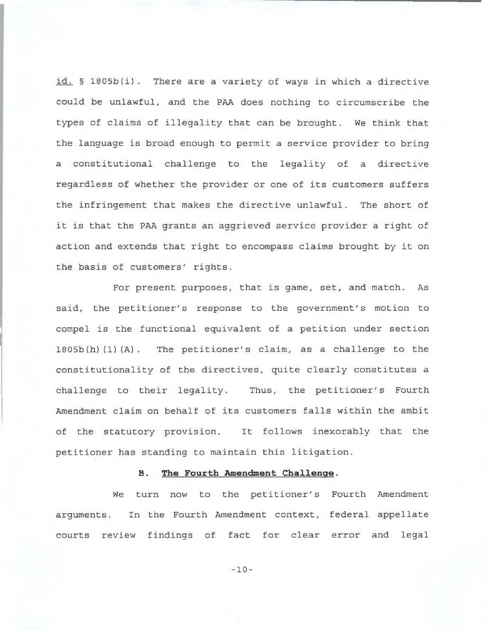id. § 1805b(i). There are a variety of ways in which a directive could be unlawful, and the PAA does nothing to circumscribe the types of claims of illegality that can be brought. We think that the language is broad enough to permit a service provider to bring a constitutional challenge to the legality of a directive regardless of whether the provider or one of its customers suffers the infringement that makes the directive unlawful. The short of it is that the PAA grants an aggrieved service provider a right of action and extends that right to encompass claims brought by it on the basis of customers' rights.

For present purposes, that is game, set, and match. As said, the petitioner's response to the government's motion to compel is the functional equivalent of a petition under section 1805b (h) (1) (A) . The petitioner's claim, as a challenge to the constitutionality of the directives, quite clearly constitutes a challenge to their legality. Thus, the petitioner's Fourth Amendment claim on behalf of its customers falls within the ambit of the statutory provision. It follows inexorably that the petitioner has standing to maintain this litigation.

## **B . The Fourth Amendment Challenge.**

We turn now to the petitioner's Fourth Amendment arguments. In the Fourth Amendment context, federal appellate courts review findings of fact for clear error and legal

- **10**-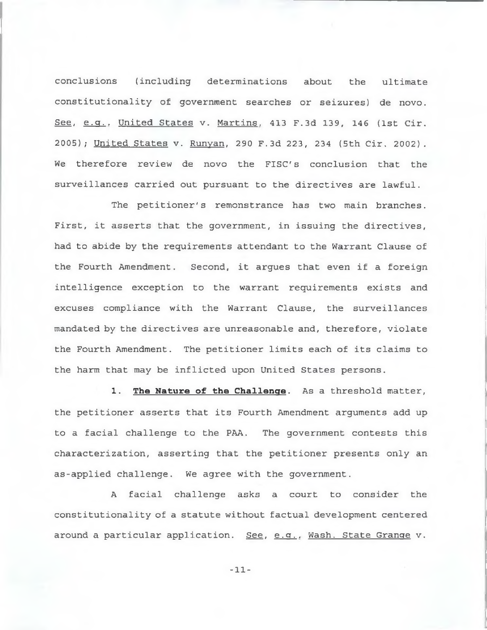conclusions (including determinations about the ultimate constitutionality of government searches or seizures) de novo. See, *e.Q..* United States v. Martins. 413 F.3d 139, 146 (1st Cir. 2005); United States v. Runyan, 290 F.3d 223, 234 (5th Cir. 2002). We therefore review de novo the FISC's conclusion that the surveillances carried out pursuant to the directives are lawful.

The petitioner's remonstrance has two main branches. First, it asserts that the government, in issuing the directives, had to abide by the requirements attendant to the Warrant Clause of the Fourth Amendment. Second, it argues that even if a foreign intelligence exception to the warrant requirements exists and excuses compliance with the Warrant Clause, the surveillances mandated by the directives are unreasonable and, therefore, violate the Fourth Amendment. The petitioner limits each of its claims to the harm that may be inflicted upon United States persons.

**1. The Nature of the Challenge**. As a threshold matter, the petitioner asserts that its Fourth Amendment arguments add up to a facial challenge to the PAA. The government contests this characterization, asserting that the petitioner presents only an as-applied challenge. We agree with the government.

A facial challenge asks a court to consider the constitutionality of a statute without factual development centered around a particular application. See, e.g., Wash. State Grange v.

- **11**-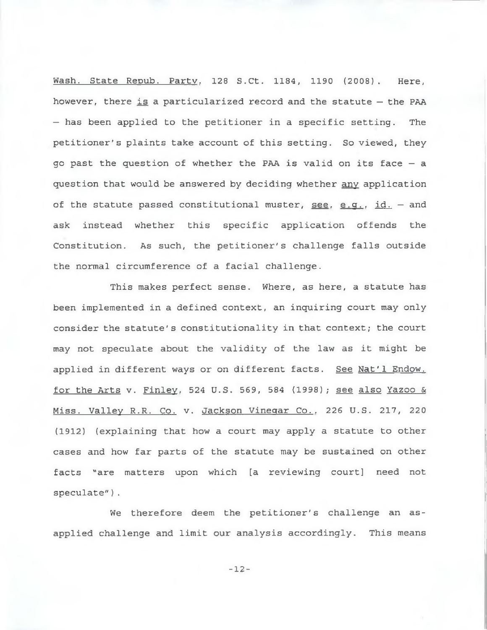Wash. State Repub. Party, 128 S.Ct. 1184, 1190 (2008). Here, however, there is a particularized record and the statute — the PAA — has been applied to the petitioner in a specific setting. The petitioner's plaints take account of this setting. So viewed, they go past the question of whether the PAA is valid on its face — a question that would be answered by deciding whether any application of the statute passed constitutional muster, see. e.g., id.  $-$  and ask instead whether this specific application offends the Constitution. As such, the petitioner's challenge falls outside the normal circumference of a facial challenge.

This makes perfect sense. Where, as here, a statute has been implemented in a defined context, an inquiring court may only consider the statute's constitutionality in that context; the court may not speculate about the validity of the law as it might be applied in different ways or on different facts. See Nat'l Endow. for the Arts v. Finley. 524 U.S. 569, 584 (1998); see also Yazoo & Miss. Valley R.R. Co. v. Jackson Vinegar Co., 226 U.S. 217, 220 (1912) (explaining that how a court may apply a statute to other cases and how far parts of the statute may be sustained on other facts "are matters upon which [a reviewing court] need not speculate").

We therefore deem the petitioner's challenge an asapplied challenge and limit our analysis accordingly. This means

- **12**-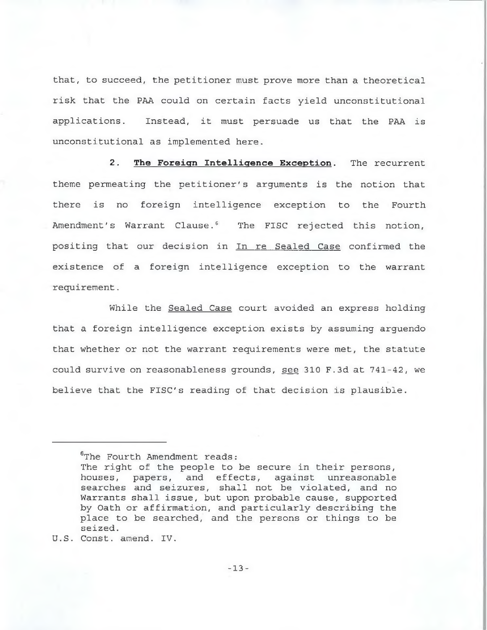that, to succeed, the petitioner must prove more than a theoretical risk that the PAA could on certain facts yield unconstitutional applications. Instead, it must persuade us that the PAA is unconstitutional as implemented here.

**2. The Foreign Intelligence Exception.** The recurrent theme permeating the petitioner's arguments is the notion that there is no foreign intelligence exception to the Fourth Amendment's Warrant Clause.<sup>6</sup> The FISC rejected this notion, positing that our decision in In re Sealed Case confirmed the existence of a foreign intelligence exception to the warrant requirement.

While the Sealed Case court avoided an express holding that a foreign intelligence exception exists by assuming arguendo that whether or not the warrant requirements were met, the statute could survive on reasonableness grounds, see 310 F.3d at 741-42, we believe that the FISC's reading of that decision is plausible.

<sup>&</sup>lt;sup>6</sup>The Fourth Amendment reads:

The right of the people to be secure in their persons, houses, papers, and effects, against unreasonable searches and seizures, shall not be violated, and no Warrants shall issue, but upon probable cause, supported by Oath or affirmation, and particularly describing the place to be searched, and the persons or things to be seized.

U.S. Const, amend. IV.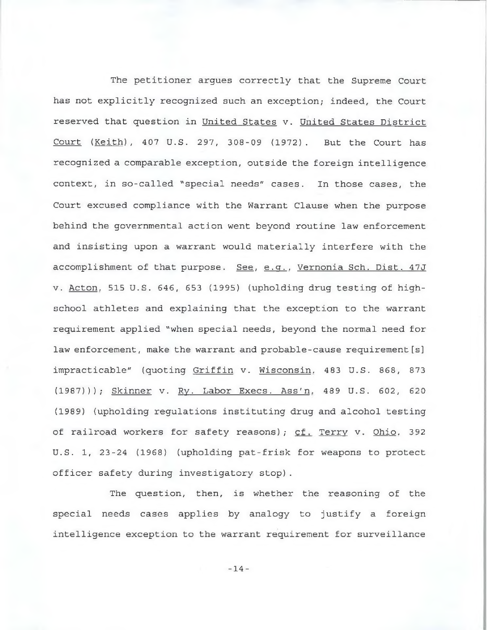The petitioner argues correctly that the Supreme Court has not explicitly recognized such an exception; indeed, the Court reserved that question in United States v. United States District Court (Keith), 407 U.S. 297, 308-09 (1972). But the Court has recognized a comparable exception, outside the foreign intelligence context, in so-called "special needs" cases. In those cases, the Court excused compliance with the Warrant Clause when the purpose behind the governmental action went beyond routine law enforcement and insisting upon a warrant would materially interfere with the accomplishment of that purpose. See, e.g., Vernonia Sch. Dist. 47J v. Acton. 515 U.S. 646, 653 (1995) (upholding drug testing of highschool athletes and explaining that the exception to the warrant requirement applied "when special needs, beyond the normal need for law enforcement, make the warrant and probable-cause requirement [s] impracticable" (quoting Griffin v. Wisconsin. 483 U.S. 868, 873 (1987))); Skinner v. Ry. Labor Execs. Ass'n. 489 U.S. 602, 620 (1989) (upholding regulations instituting drug and alcohol testing of railroad workers for safety reasons); cf. Terry v. Ohio. 392 U.S. 1, 23-24 (1968) (upholding pat-frisk for weapons to protect officer safety during investigatory stop).

The question, then, is whether the reasoning of the special needs cases applies by analogy to justify a foreign intelligence exception to the warrant requirement for surveillance

- **14**-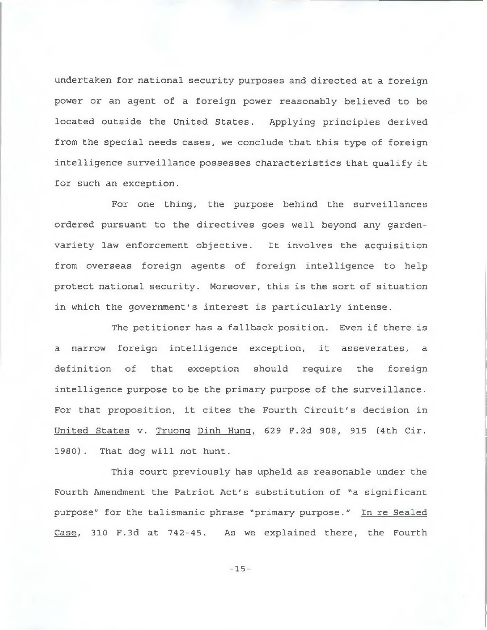undertaken for national security purposes and directed at a foreign power or an agent of a foreign power reasonably believed to be located outside the United States. Applying principles derived from the special needs cases, we conclude that this type of foreign intelligence surveillance possesses characteristics that qualify it for such an exception.

For one thing, the purpose behind the surveillances ordered pursuant to the directives goes well beyond any gardenvariety law enforcement objective. It involves the acquisition from overseas foreign agents of foreign intelligence to help protect national security. Moreover, this is the sort of situation in which the government's interest is particularly intense.

The petitioner has a fallback position. Even if there is a narrow foreign intelligence exception, it asseverates, a definition of that exception should require the foreign intelligence purpose to be the primary purpose of the surveillance. For that proposition, it cites the Fourth Circuit's decision in United States v. Truong Dinh Hung. 629 F.2d 908, 915 (4th Cir. 1980). That dog will not hunt.

This court previously has upheld as reasonable under the Fourth Amendment the Patriot Act's substitution of "a significant purpose" for the talismanic phrase "primary purpose." In re Sealed Case, 310 F.3d at 742-45. As we explained there, the Fourth

- **15**-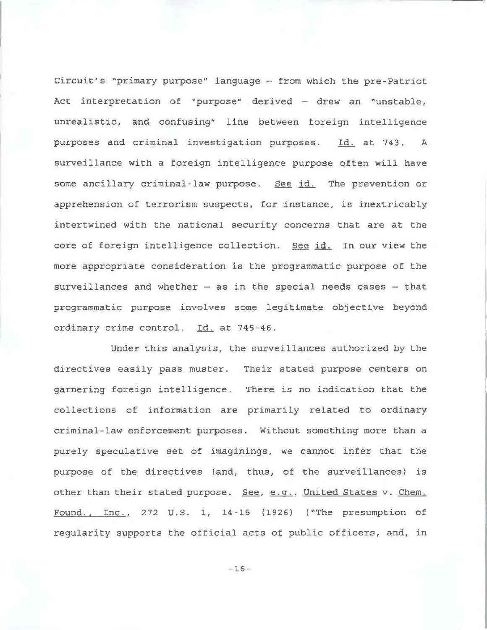Circuit's "primary purpose" language — from which the pre-Patriot Act interpretation of "purpose" derived — drew an "unstable, unrealistic, and confusing" line between foreign intelligence purposes and criminal investigation purposes. Id. at 743. A surveillance with a foreign intelligence purpose often will have some ancillary criminal-law purpose. See id. The prevention or apprehension of terrorism suspects, for instance, is inextricably intertwined with the national security concerns that are at the core of foreign intelligence collection. See id. In our view the more appropriate consideration is the programmatic purpose of the surveillances and whether  $-$  as in the special needs cases  $-$  that programmatic purpose involves some legitimate objective beyond ordinary crime control. Id. at 745-46.

Under this analysis, the surveillances authorized by the directives easily pass muster. Their stated purpose centers on garnering foreign intelligence. There is no indication that the collections of information are primarily related to ordinary criminal-law enforcement purposes. Without something more than a purely speculative set of imaginings, we cannot infer that the purpose of the directives (and, thus, of the surveillances) is other than their stated purpose. See, e.g., United States v. Chem. Found., Inc.. 272 U.S. 1, 14-15 (1926) ("The presumption of regularity supports the official acts of public officers, and, in

- **16**-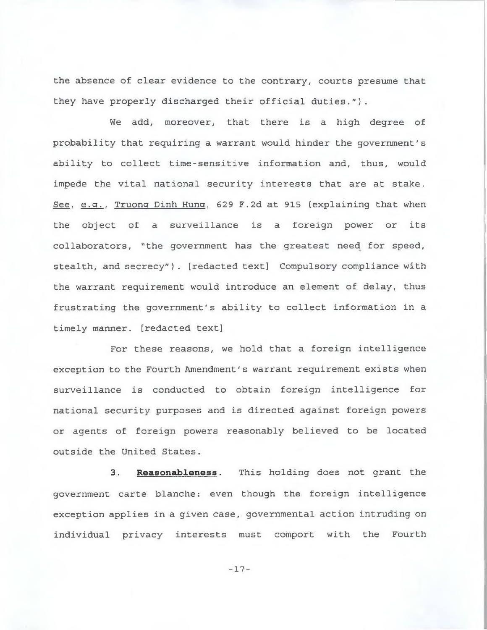the absence of clear evidence to the contrary, courts presume that they have properly discharged their official duties.").

We add, moreover, that there is a high degree of probability that requiring a warrant would hinder the government's ability to collect time-sensitive information and, thus, would impede the vital national security interests that are at stake. See. e.g., Truong Dinh Hung. 629 F.2d at 915 (explaining that when the object of a surveillance is a foreign power or its collaborators, "the government has the greatest need for speed, stealth, and secrecy"). [redacted text] Compulsory compliance with the warrant requirement would introduce an element of delay, thus frustrating the government's ability to collect information in a timely manner, [redacted text]

For these reasons, we hold that a foreign intelligence exception to the Fourth Amendment's warrant requirement exists when surveillance is conducted to obtain foreign intelligence for national security purposes and is directed against foreign powers or agents of foreign powers reasonably believed to be located outside the United States.

**3. Reasonableness**. This holding does not grant the government carte blanche: even though the foreign intelligence exception applies in a given case, governmental action intruding on individual privacy interests must comport with the Fourth

- **17**-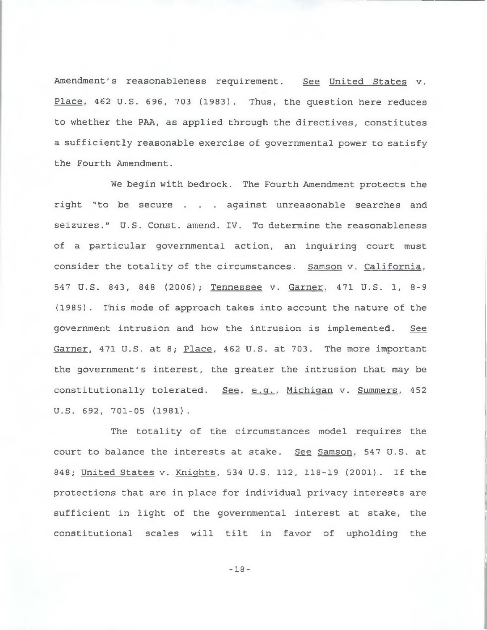Amendment's reasonableness requirement. See United States v. Place. 462 U.S. 696, 703 (1983). Thus, the question here reduces to whether the PAA, as applied through the directives, constitutes a sufficiently reasonable exercise of governmental power to satisfy the Fourth Amendment.

We begin with bedrock. The Fourth Amendment protects the right "to be secure . . . against unreasonable searches and seizures." U.S. Const, amend. IV. To determine the reasonableness of a particular governmental action, an inquiring court must consider the totality of the circumstances. Samson v. California, 547 U.S. 843, 848 (2006); Tennessee v. Garner. 471 U.S. 1, 8-9 (1985) . This mode of approach takes into account the nature of the government intrusion and how the intrusion is implemented. See Garner, 471 U.S. at 8; Place, 462 U.S. at 703. The more important the government's interest, the greater the intrusion that may be constitutionally tolerated. See, e.g., Michigan v. Summers, 452 U.S. 692, 701-05 (1981).

The totality of the circumstances model requires the court to balance the interests at stake. See Samson, 547 U.S. at 848; United States v. Knights, 534 U.S. 112, 118-19 (2001). If the protections that are in place for individual privacy interests are sufficient in light of the governmental interest at stake, the constitutional scales will tilt in favor of upholding the

- **18**-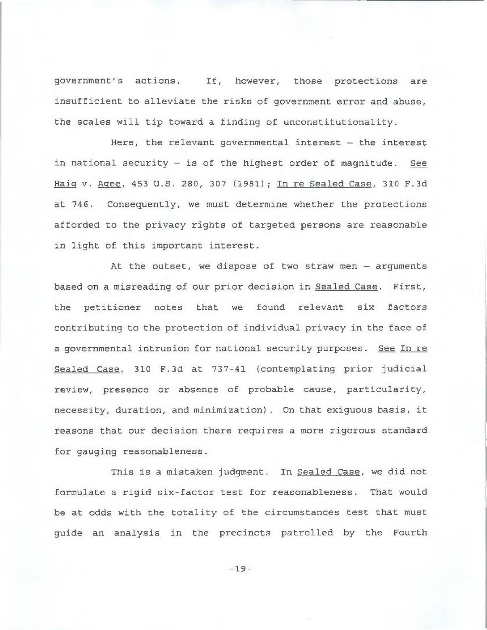government's actions. If, however, those protections are insufficient to alleviate the risks of government error and abuse, the scales will tip toward a finding of unconstitutionality.

Here, the relevant governmental interest — the interest in national security — is of the highest order of magnitude. See Haig v. Agee, 453 U.S. 280, 307 (1981); In re Sealed Case, 310 F.3d at 746. Consequently, we must determine whether the protections afforded to the privacy rights of targeted persons are reasonable in light of this important interest.

At the outset, we dispose of two straw men — arguments based on a misreading of our prior decision in Sealed Case. First, the petitioner notes that we found relevant six factors contributing to the protection of individual privacy in the face of a governmental intrusion for national security purposes. See In re Sealed Case. 310 F.3d at 737-41 (contemplating prior judicial review, presence or absence of probable cause, particularity, necessity, duration, and minimization). On that exiguous basis, it reasons that our decision there requires a more rigorous standard for gauging reasonableness.

This is a mistaken judgment. In Sealed Case, we did not formulate a rigid six-factor test for reasonableness. That would be at odds with the totality of the circumstances test that must guide an analysis in the precincts patrolled by the Fourth

- **19**-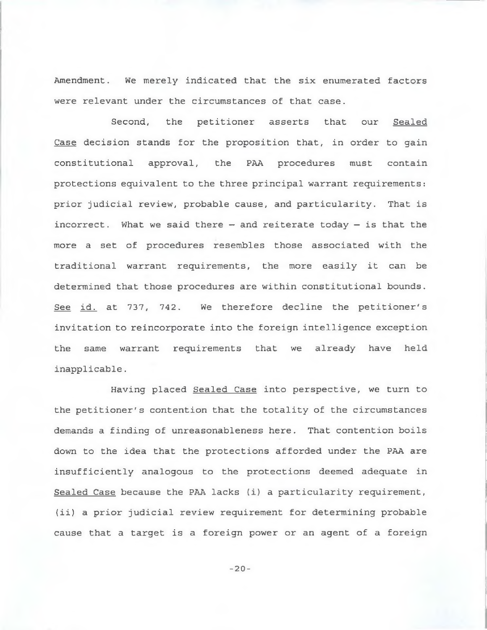Amendment. We merely indicated that the six enumerated factors were relevant under the circumstances of that case.

Second, the petitioner asserts that our Sealed Case decision stands for the proposition that, in order to gain constitutional approval, the PAA procedures must contain protections equivalent to the three principal warrant requirements: prior judicial review, probable cause, and particularity. That is incorrect. What we said there  $-$  and reiterate today  $-$  is that the more a set of procedures resembles those associated with the traditional warrant requirements, the more easily it can be determined that those procedures are within constitutional bounds. See id. at 737, 742. We therefore decline the petitioner's invitation to reincorporate into the foreign intelligence exception the same warrant requirements that we already have held inapplicable.

Having placed Sealed Case into perspective, we turn to the petitioner's contention that the totality of the circumstances demands a finding of unreasonableness here. That contention boils down to the idea that the protections afforded under the PAA are insufficiently analogous to the protections deemed adequate in Sealed Case because the PAA lacks (i) a particularity requirement, (ii) a prior judicial review requirement for determining probable cause that a target is a foreign power or an agent of a foreign

- **20**-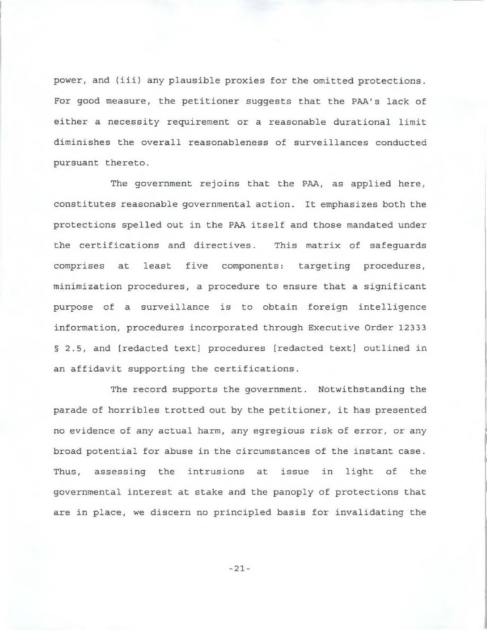power, and (iii) any plausible proxies for the omitted protections. For good measure, the petitioner suggests that the PAA's lack of either a necessity requirement or a reasonable durational limit diminishes the overall reasonableness of surveillances conducted pursuant thereto.

The government rejoins that the PAA, as applied here, constitutes reasonable governmental action. It emphasizes both the protections spelled out in the PAA itself and those mandated under the certifications and directives. This matrix of safeguards comprises at least five components: targeting procedures, minimization procedures, a procedure to ensure that a significant purpose of a surveillance is to obtain foreign intelligence information, procedures incorporated through Executive Order 12333 § 2.5, and [redacted text] procedures [redacted text] outlined in an affidavit supporting the certifications.

The record supports the government. Notwithstanding the parade of horribles trotted out by the petitioner, it has presented no evidence of any actual harm, any egregious risk of error, or any broad potential for abuse in the circumstances of the instant case. Thus, assessing the intrusions at issue in light of the governmental interest at stake and the panoply of protections that are in place, we discern no principled basis for invalidating the

- **21**-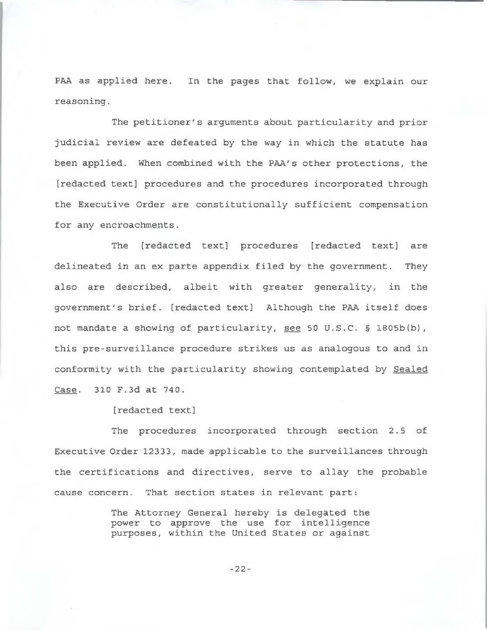PAA as applied here. In the pages that follow, we explain our reasoning.

The petitioner's arguments about particularity and prior judicial review are defeated by the way in which the statute has been applied. When combined with the PAA's other protections, the [redacted text] procedures and the procedures incorporated through the Executive Order are constitutionally sufficient compensation for any encroachments.

The [redacted text] procedures [redacted text] are delineated in an ex parte appendix filed by the government. They also are described, albeit with greater generality, in the government's brief, [redacted text] Although the PAA itself does not mandate a showing of particularity, see 50 U.S.C. § 1805b(b), this pre-surveillance procedure strikes us as analogous to and in conformity with the particularity showing contemplated by Sealed Case. 310 F.3d at 740.

[redacted text]

The procedures incorporated through section 2.5 of Executive Order 12333, made applicable to the surveillances through the certifications and directives, serve to allay the probable cause concern. That section states in relevant part:

> The Attorney General hereby is delegated the power to approve the use for intelligence purposes, within the United States or against

> > - **22**-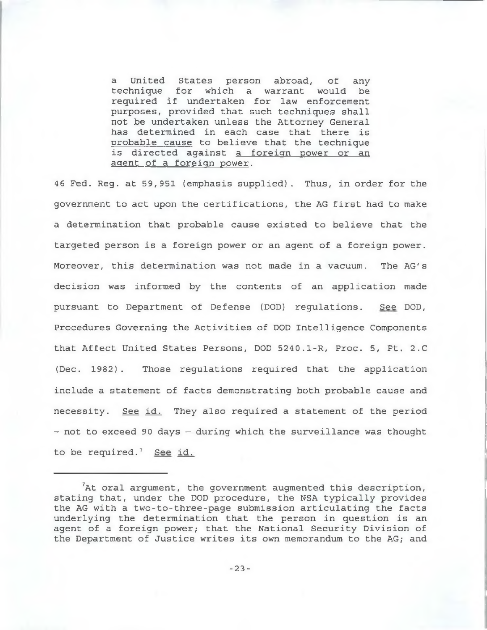a United States person abroad, of any technique for which a warrant would be required if undertaken for law enforcement purposes, provided that such techniques shall not be undertaken unless the Attorney General has determined in each case that there is probable cause to believe that the technique is directed against a foreign power or an agent of a foreign power.

46 Fed. Reg. at 59,951 (emphasis supplied). Thus, in order for the government to act upon the certifications, the AG first had to make a determination that probable cause existed to believe that the targeted person is a foreign power or an agent of a foreign power. Moreover, this determination was not made in a vacuum. The AG's decision was informed by the contents of an application made pursuant to Department of Defense (DOD) regulations. See DOD, Procedures Governing the Activities of DOD Intelligence Components that Affect United States Persons, DOD 5240.1-R, Proc. 5, Pt. 2.C (Dec. 1982). Those regulations required that the application include a statement of facts demonstrating both probable cause and necessity. See id. They also required a statement of the period — not to exceed 90 days — during which the surveillance was thought to be required.<sup>7</sup> See id.

<sup>7</sup>At oral argument, the government augmented this description, stating that, under the DOD procedure, the NSA typically provides the AG with a two-to-three-page submission articulating the facts underlying the determination that the person in question is an agent of a foreign power; that the National Security Division of the Department of Justice writes its own memorandum to the AG; and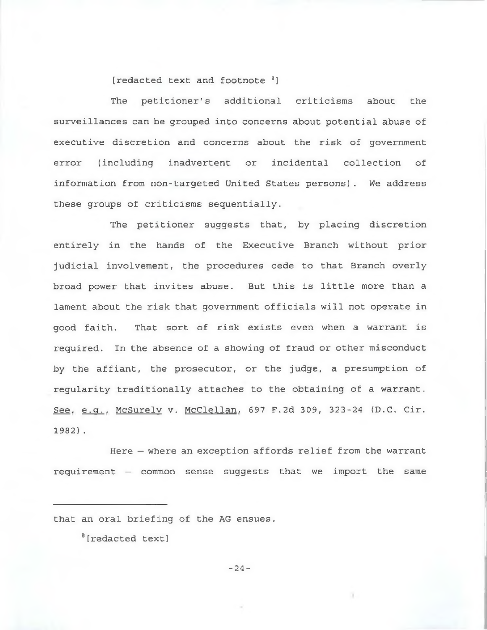[redacted text and footnote <sup>8</sup>]

The petitioner's additional criticisms about the surveillances can be grouped into concerns about potential abuse of executive discretion and concerns about the risk of government error (including inadvertent or incidental collection of information from non-targeted United States persons). We address these groups of criticisms sequentially.

The petitioner suggests that, by placing discretion entirely in the hands of the Executive Branch without prior judicial involvement, the procedures cede to that Branch overly broad power that invites abuse. But this is little more than a lament about the risk that government officials will not operate in good faith. That sort of risk exists even when a warrant is required. In the absence of a showing of fraud or other misconduct by the affiant, the prosecutor, or the judge, a presumption of regularity traditionally attaches to the obtaining of a warrant. See, e.g.. McSurelv v. McClellan. 697 F.2d 309, 323-24 (D.C. Cir. 1982).

Here — where an exception affords relief from the warrant requirement — common sense suggests that we import the same

that an oral briefing of the AG ensues.

8[redacted text]

- **24**-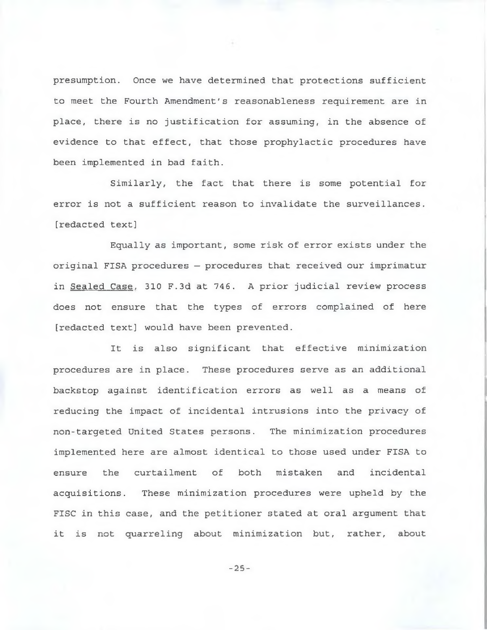presumption. Once we have determined that protections sufficient to meet the Fourth Amendment's reasonableness requirement are in place, there is no justification for assuming, in the absence of evidence to that effect, that those prophylactic procedures have been implemented in bad faith.

Similarly, the fact that there is some potential for error is not a sufficient reason to invalidate the surveillances, [redacted text]

Equally as important, some risk of error exists under the original FISA procedures — procedures that received our imprimatur in Sealed Case, 310 F.3d at 746. A prior judicial review process does not ensure that the types of errors complained of here [redacted text] would have been prevented.

It is also significant that effective minimization procedures are in place. These procedures serve as an additional backstop against identification errors as well as a means of reducing the impact of incidental intrusions into the privacy of non-targeted United States persons. The minimization procedures implemented here are almost identical to those used under FISA to ensure the curtailment of both mistaken and incidental acquisitions. These minimization procedures were upheld by the FISC in this case, and the petitioner stated at oral argument that it is not quarreling about minimization but, rather, about

- **25**-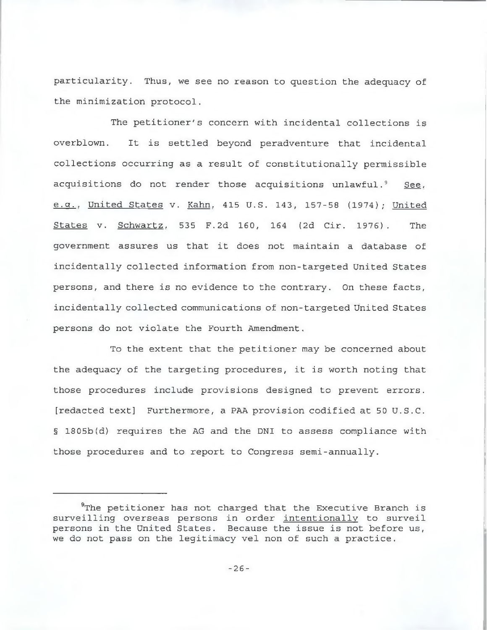particularity. Thus, we see no reason to question the adequacy of the minimization protocol.

The petitioner's concern with incidental collections is overblown. It is settled beyond peradventure that incidental collections occurring as a result of constitutionally permissible acquisitions do not render those acquisitions unlawful.<sup>9</sup> See, e.g.. United States v. Kahn. 415 U.S. 143, 157-58 (1974); United States v. Schwartz. 535 F.2d 160, 164 (2d Cir. 1976). The government assures us that it does not maintain a database of incidentally collected information from non-targeted United States persons, and there is no evidence to the contrary. On these facts, incidentally collected communications of non-targeted United States persons do not violate the Fourth Amendment.

To the extent that the petitioner may be concerned about the adequacy of the targeting procedures, it is worth noting that those procedures include provisions designed to prevent errors, [redacted text] Furthermore, a PAA provision codified at 50 U.S.C. § 1805b(d) requires the AG and the DNI to assess compliance with those procedures and to report to Congress semi-annually.

<sup>&</sup>lt;sup>9</sup>The petitioner has not charged that the Executive Branch is surveilling overseas persons in order intentionally to surveil persons in the United States. Because the issue is not before us, we do not pass on the legitimacy vel non of such a practice.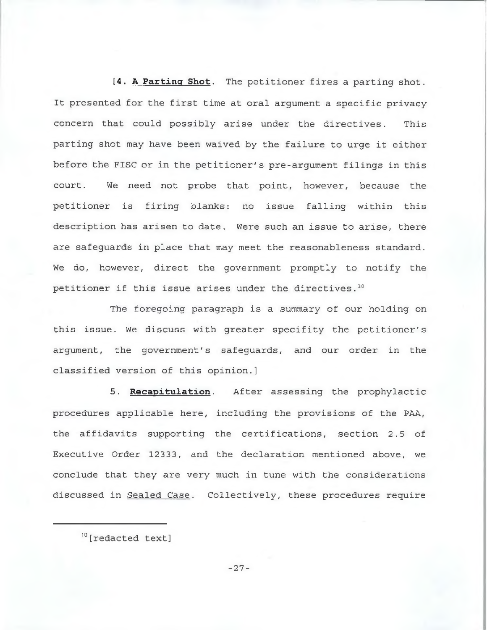**[4. A Parting Shot.** The petitioner fires a parting shot. It presented for the first time at oral argument a specific privacy concern that could possibly arise under the directives. This parting shot may have been waived by the failure to urge it either before the FISC or in the petitioner's pre-argument filings in this court. We need not probe that point, however, because the petitioner is firing blanks: no issue falling within this description has arisen to date. Were such an issue to arise, there are safeguards in place that may meet the reasonableness standard. We do, however, direct the government promptly to notify the petitioner if this issue arises under the directives.10

The foregoing paragraph is a summary of our holding on this issue. We discuss with greater specifity the petitioner's argument, the government's safeguards, and our order in the classified version of this opinion.]

**5. Recapitulation**. After assessing the prophylactic procedures applicable here, including the provisions of the PAA, the affidavits supporting the certifications, section 2.5 of Executive Order 12333, and the declaration mentioned above, we conclude that they are very much in tune with the considerations discussed in Sealed Case. Collectively, these procedures require

- **27**-

<sup>10 [</sup>redacted text]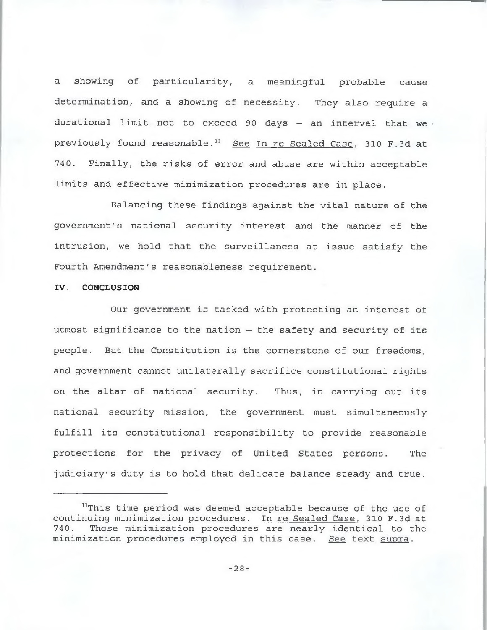a showing of particularity, a meaningful probable cause determination, and a showing of necessity. They also require a durational limit not to exceed 90 days  $-$  an interval that we previously found reasonable.<sup>11</sup> See In re Sealed Case, 310 F.3d at 740. Finally, the risks of error and abuse are within acceptable limits and effective minimization procedures are in place.

Balancing these findings against the vital nature of the government's national security interest and the manner of the intrusion, we hold that the surveillances at issue satisfy the Fourth Amendment's reasonableness requirement.

## **IV. CONCLUSION**

Our government is tasked with protecting an interest of utmost significance to the nation — the safety and security of its people. But the Constitution is the cornerstone of our freedoms, and government cannot unilaterally sacrifice constitutional rights on the altar of national security. Thus, in carrying out its national security mission, the government must simultaneously fulfill its constitutional responsibility to provide reasonable protections for the privacy of United States persons. The judiciary's duty is to hold that delicate balance steady and true.

<sup>&</sup>lt;sup>11</sup>This time period was deemed acceptable because of the use of continuing minimization procedures. In re Sealed Case. 310 F.3d at 740. Those minimization procedures are nearly identical to the minimization procedures employed in this case. See text supra.